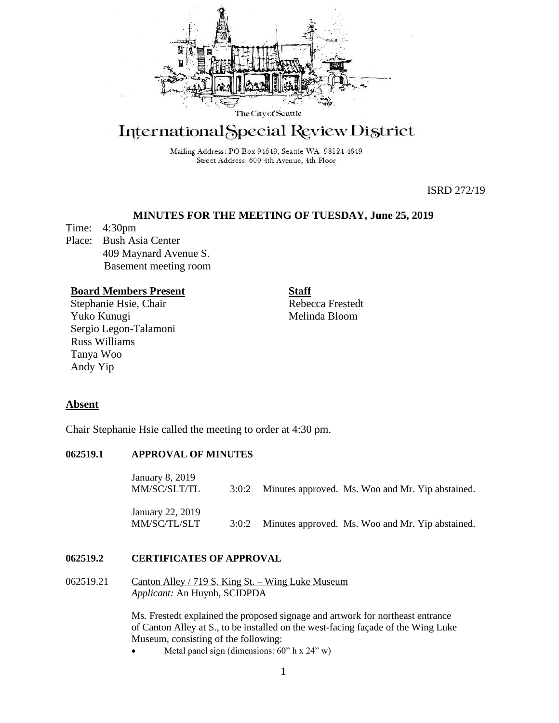

# International Special Review District

Mailing Address: PO Box 94649, Seattle WA 98124-4649 Street Address: 600 4th Avenue, 4th Floor

ISRD 272/19

# **MINUTES FOR THE MEETING OF TUESDAY, June 25, 2019**

Time: 4:30pm Place: Bush Asia Center 409 Maynard Avenue S. Basement meeting room

## **Board Members Present**

Stephanie Hsie, Chair Yuko Kunugi Sergio Legon-Talamoni Russ Williams Tanya Woo Andy Yip

**Staff** Rebecca Frestedt Melinda Bloom

# **Absent**

Chair Stephanie Hsie called the meeting to order at 4:30 pm.

## **062519.1 APPROVAL OF MINUTES**

| January 8, 2019<br>MM/SC/SLT/TL  | 3:0:2 | Minutes approved. Ms. Woo and Mr. Yip abstained. |  |  |
|----------------------------------|-------|--------------------------------------------------|--|--|
| January 22, 2019<br>MM/SC/TL/SLT | 3:0:2 | Minutes approved. Ms. Woo and Mr. Yip abstained. |  |  |

## **062519.2 CERTIFICATES OF APPROVAL**

062519.21 Canton Alley / 719 S. King St. – Wing Luke Museum *Applicant:* An Huynh, SCIDPDA

> Ms. Frestedt explained the proposed signage and artwork for northeast entrance of Canton Alley at S., to be installed on the west-facing façade of the Wing Luke Museum, consisting of the following:

Metal panel sign (dimensions:  $60$ " h x  $24$ " w)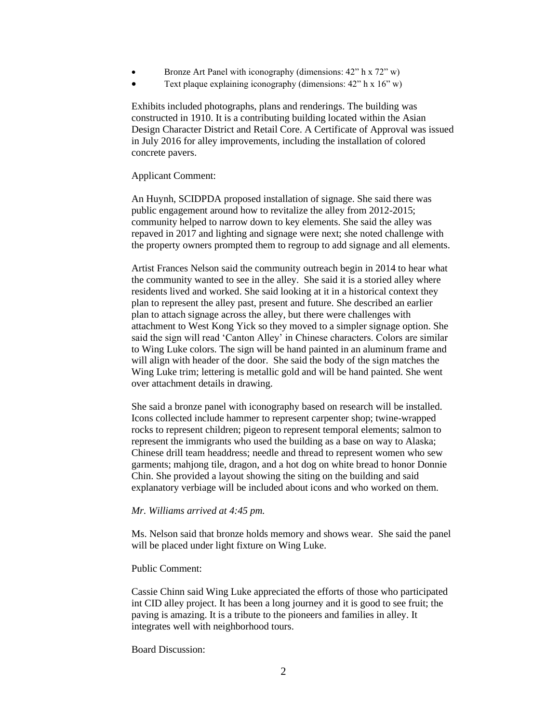- Bronze Art Panel with iconography (dimensions: 42" h x 72" w)
- Text plaque explaining iconography (dimensions:  $42$ <sup>"</sup> h x  $16$ " w)

Exhibits included photographs, plans and renderings. The building was constructed in 1910. It is a contributing building located within the Asian Design Character District and Retail Core. A Certificate of Approval was issued in July 2016 for alley improvements, including the installation of colored concrete pavers.

#### Applicant Comment:

An Huynh, SCIDPDA proposed installation of signage. She said there was public engagement around how to revitalize the alley from 2012-2015; community helped to narrow down to key elements. She said the alley was repaved in 2017 and lighting and signage were next; she noted challenge with the property owners prompted them to regroup to add signage and all elements.

Artist Frances Nelson said the community outreach begin in 2014 to hear what the community wanted to see in the alley. She said it is a storied alley where residents lived and worked. She said looking at it in a historical context they plan to represent the alley past, present and future. She described an earlier plan to attach signage across the alley, but there were challenges with attachment to West Kong Yick so they moved to a simpler signage option. She said the sign will read 'Canton Alley' in Chinese characters. Colors are similar to Wing Luke colors. The sign will be hand painted in an aluminum frame and will align with header of the door. She said the body of the sign matches the Wing Luke trim; lettering is metallic gold and will be hand painted. She went over attachment details in drawing.

She said a bronze panel with iconography based on research will be installed. Icons collected include hammer to represent carpenter shop; twine-wrapped rocks to represent children; pigeon to represent temporal elements; salmon to represent the immigrants who used the building as a base on way to Alaska; Chinese drill team headdress; needle and thread to represent women who sew garments; mahjong tile, dragon, and a hot dog on white bread to honor Donnie Chin. She provided a layout showing the siting on the building and said explanatory verbiage will be included about icons and who worked on them.

### *Mr. Williams arrived at 4:45 pm.*

Ms. Nelson said that bronze holds memory and shows wear. She said the panel will be placed under light fixture on Wing Luke.

#### Public Comment:

Cassie Chinn said Wing Luke appreciated the efforts of those who participated int CID alley project. It has been a long journey and it is good to see fruit; the paving is amazing. It is a tribute to the pioneers and families in alley. It integrates well with neighborhood tours.

#### Board Discussion: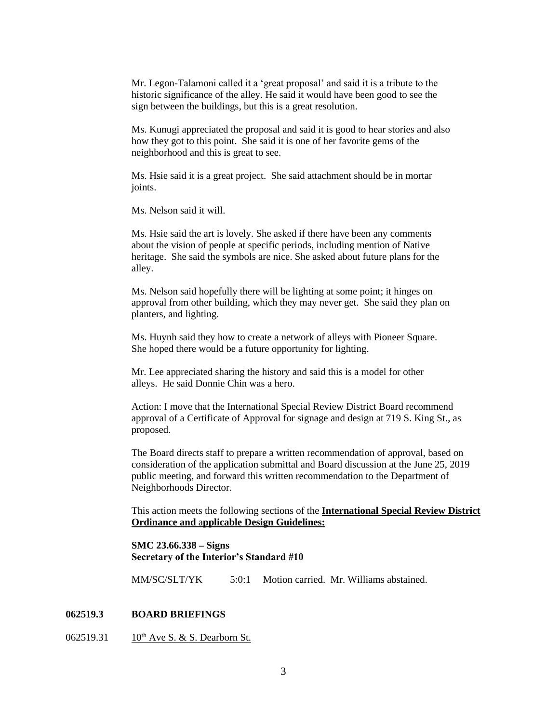Mr. Legon-Talamoni called it a 'great proposal' and said it is a tribute to the historic significance of the alley. He said it would have been good to see the sign between the buildings, but this is a great resolution.

Ms. Kunugi appreciated the proposal and said it is good to hear stories and also how they got to this point. She said it is one of her favorite gems of the neighborhood and this is great to see.

Ms. Hsie said it is a great project. She said attachment should be in mortar joints.

Ms. Nelson said it will.

Ms. Hsie said the art is lovely. She asked if there have been any comments about the vision of people at specific periods, including mention of Native heritage. She said the symbols are nice. She asked about future plans for the alley.

Ms. Nelson said hopefully there will be lighting at some point; it hinges on approval from other building, which they may never get. She said they plan on planters, and lighting.

Ms. Huynh said they how to create a network of alleys with Pioneer Square. She hoped there would be a future opportunity for lighting.

Mr. Lee appreciated sharing the history and said this is a model for other alleys. He said Donnie Chin was a hero.

Action: I move that the International Special Review District Board recommend approval of a Certificate of Approval for signage and design at 719 S. King St., as proposed.

The Board directs staff to prepare a written recommendation of approval, based on consideration of the application submittal and Board discussion at the June 25, 2019 public meeting, and forward this written recommendation to the Department of Neighborhoods Director.

This action meets the following sections of the **International Special Review District Ordinance and** a**pplicable Design Guidelines:**

**SMC 23.66.338 – Signs Secretary of the Interior's Standard #10**

MM/SC/SLT/YK 5:0:1 Motion carried. Mr. Williams abstained.

## **062519.3 BOARD BRIEFINGS**

062519.31 10<sup>th</sup> Ave S. & S. Dearborn St.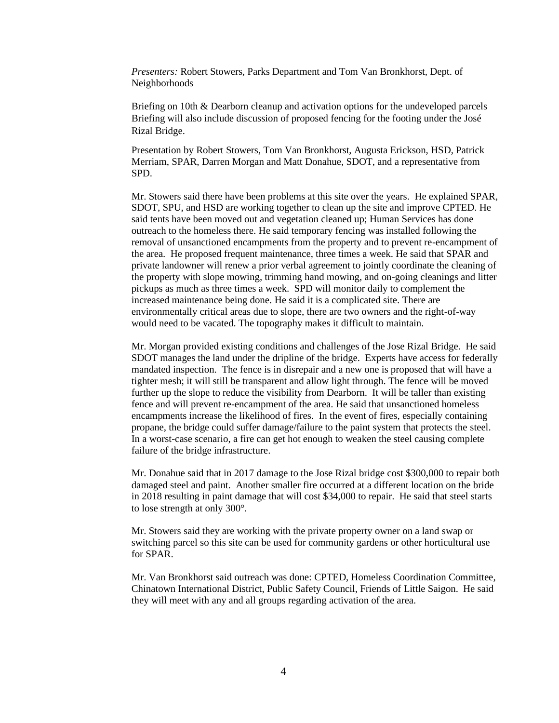*Presenters:* Robert Stowers, Parks Department and Tom Van Bronkhorst, Dept. of Neighborhoods

Briefing on 10th & Dearborn cleanup and activation options for the undeveloped parcels Briefing will also include discussion of proposed fencing for the footing under the José Rizal Bridge.

Presentation by Robert Stowers, Tom Van Bronkhorst, Augusta Erickson, HSD, Patrick Merriam, SPAR, Darren Morgan and Matt Donahue, SDOT, and a representative from SPD.

Mr. Stowers said there have been problems at this site over the years. He explained SPAR, SDOT, SPU, and HSD are working together to clean up the site and improve CPTED. He said tents have been moved out and vegetation cleaned up; Human Services has done outreach to the homeless there. He said temporary fencing was installed following the removal of unsanctioned encampments from the property and to prevent re-encampment of the area. He proposed frequent maintenance, three times a week. He said that SPAR and private landowner will renew a prior verbal agreement to jointly coordinate the cleaning of the property with slope mowing, trimming hand mowing, and on-going cleanings and litter pickups as much as three times a week. SPD will monitor daily to complement the increased maintenance being done. He said it is a complicated site. There are environmentally critical areas due to slope, there are two owners and the right-of-way would need to be vacated. The topography makes it difficult to maintain.

Mr. Morgan provided existing conditions and challenges of the Jose Rizal Bridge. He said SDOT manages the land under the dripline of the bridge. Experts have access for federally mandated inspection. The fence is in disrepair and a new one is proposed that will have a tighter mesh; it will still be transparent and allow light through. The fence will be moved further up the slope to reduce the visibility from Dearborn. It will be taller than existing fence and will prevent re-encampment of the area. He said that unsanctioned homeless encampments increase the likelihood of fires. In the event of fires, especially containing propane, the bridge could suffer damage/failure to the paint system that protects the steel. In a worst-case scenario, a fire can get hot enough to weaken the steel causing complete failure of the bridge infrastructure.

Mr. Donahue said that in 2017 damage to the Jose Rizal bridge cost \$300,000 to repair both damaged steel and paint. Another smaller fire occurred at a different location on the bride in 2018 resulting in paint damage that will cost \$34,000 to repair. He said that steel starts to lose strength at only 300°.

Mr. Stowers said they are working with the private property owner on a land swap or switching parcel so this site can be used for community gardens or other horticultural use for SPAR.

Mr. Van Bronkhorst said outreach was done: CPTED, Homeless Coordination Committee, Chinatown International District, Public Safety Council, Friends of Little Saigon. He said they will meet with any and all groups regarding activation of the area.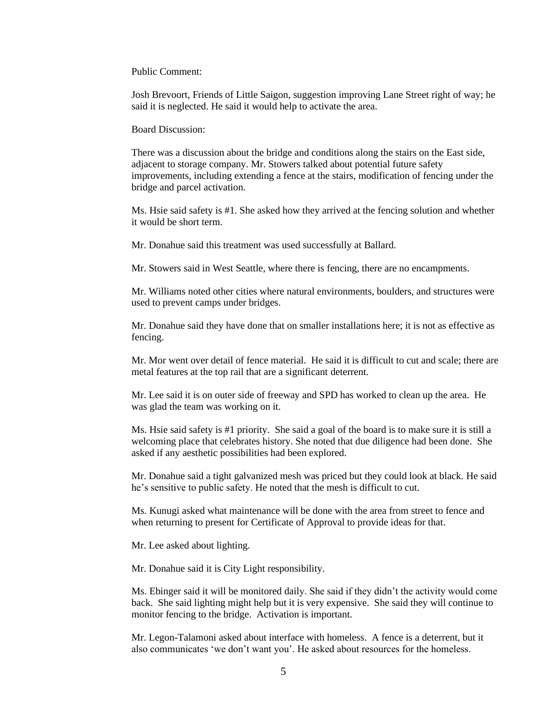Public Comment:

Josh Brevoort, Friends of Little Saigon, suggestion improving Lane Street right of way; he said it is neglected. He said it would help to activate the area.

Board Discussion:

There was a discussion about the bridge and conditions along the stairs on the East side, adjacent to storage company. Mr. Stowers talked about potential future safety improvements, including extending a fence at the stairs, modification of fencing under the bridge and parcel activation.

Ms. Hsie said safety is #1. She asked how they arrived at the fencing solution and whether it would be short term.

Mr. Donahue said this treatment was used successfully at Ballard.

Mr. Stowers said in West Seattle, where there is fencing, there are no encampments.

Mr. Williams noted other cities where natural environments, boulders, and structures were used to prevent camps under bridges.

Mr. Donahue said they have done that on smaller installations here; it is not as effective as fencing.

Mr. Mor went over detail of fence material. He said it is difficult to cut and scale; there are metal features at the top rail that are a significant deterrent.

Mr. Lee said it is on outer side of freeway and SPD has worked to clean up the area. He was glad the team was working on it.

Ms. Hsie said safety is #1 priority. She said a goal of the board is to make sure it is still a welcoming place that celebrates history. She noted that due diligence had been done. She asked if any aesthetic possibilities had been explored.

Mr. Donahue said a tight galvanized mesh was priced but they could look at black. He said he's sensitive to public safety. He noted that the mesh is difficult to cut.

Ms. Kunugi asked what maintenance will be done with the area from street to fence and when returning to present for Certificate of Approval to provide ideas for that.

Mr. Lee asked about lighting.

Mr. Donahue said it is City Light responsibility.

Ms. Ebinger said it will be monitored daily. She said if they didn't the activity would come back. She said lighting might help but it is very expensive. She said they will continue to monitor fencing to the bridge. Activation is important.

Mr. Legon-Talamoni asked about interface with homeless. A fence is a deterrent, but it also communicates 'we don't want you'. He asked about resources for the homeless.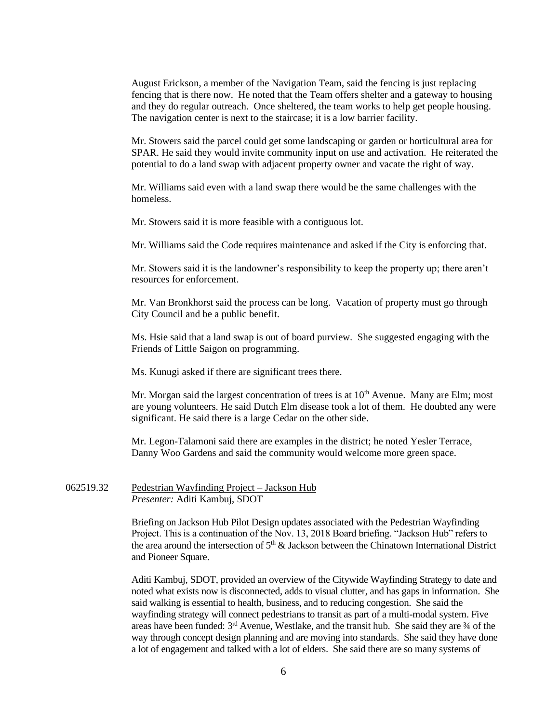August Erickson, a member of the Navigation Team, said the fencing is just replacing fencing that is there now. He noted that the Team offers shelter and a gateway to housing and they do regular outreach. Once sheltered, the team works to help get people housing. The navigation center is next to the staircase; it is a low barrier facility.

Mr. Stowers said the parcel could get some landscaping or garden or horticultural area for SPAR. He said they would invite community input on use and activation. He reiterated the potential to do a land swap with adjacent property owner and vacate the right of way.

Mr. Williams said even with a land swap there would be the same challenges with the homeless.

Mr. Stowers said it is more feasible with a contiguous lot.

Mr. Williams said the Code requires maintenance and asked if the City is enforcing that.

Mr. Stowers said it is the landowner's responsibility to keep the property up; there aren't resources for enforcement.

Mr. Van Bronkhorst said the process can be long. Vacation of property must go through City Council and be a public benefit.

Ms. Hsie said that a land swap is out of board purview. She suggested engaging with the Friends of Little Saigon on programming.

Ms. Kunugi asked if there are significant trees there.

Mr. Morgan said the largest concentration of trees is at  $10<sup>th</sup>$  Avenue. Many are Elm; most are young volunteers. He said Dutch Elm disease took a lot of them. He doubted any were significant. He said there is a large Cedar on the other side.

Mr. Legon-Talamoni said there are examples in the district; he noted Yesler Terrace, Danny Woo Gardens and said the community would welcome more green space.

062519.32 Pedestrian Wayfinding Project – Jackson Hub *Presenter:* Aditi Kambuj, SDOT

> Briefing on Jackson Hub Pilot Design updates associated with the Pedestrian Wayfinding Project. This is a continuation of the Nov. 13, 2018 Board briefing. "Jackson Hub" refers to the area around the intersection of  $5<sup>th</sup>$  & Jackson between the Chinatown International District and Pioneer Square.

> Aditi Kambuj, SDOT, provided an overview of the Citywide Wayfinding Strategy to date and noted what exists now is disconnected, adds to visual clutter, and has gaps in information. She said walking is essential to health, business, and to reducing congestion. She said the wayfinding strategy will connect pedestrians to transit as part of a multi-modal system. Five areas have been funded:  $3<sup>rd</sup>$  Avenue, Westlake, and the transit hub. She said they are  $\frac{3}{4}$  of the way through concept design planning and are moving into standards. She said they have done a lot of engagement and talked with a lot of elders. She said there are so many systems of